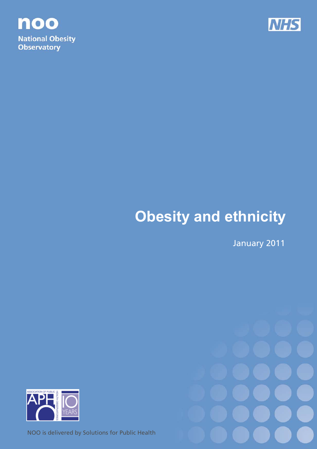



# **Obesity and ethnicity**

January 2011





NOO is delivered by Solutions for Public Health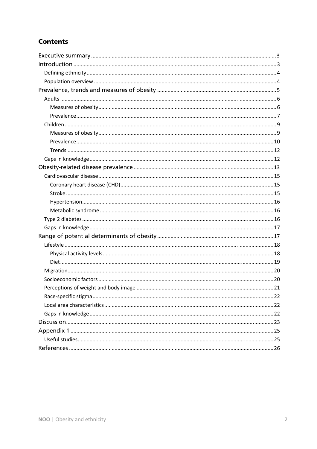# **Contents**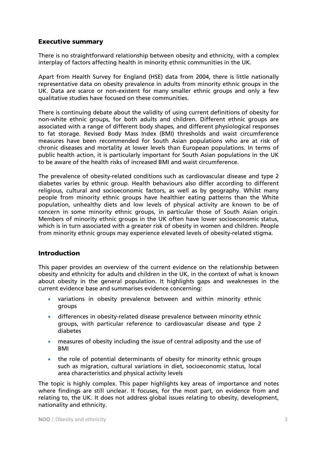# Executive summary

There is no straightforward relationship between obesity and ethnicity, with a complex interplay of factors affecting health in minority ethnic communities in the UK.

Apart from Health Survey for England (HSE) data from 2004, there is little nationally representative data on obesity prevalence in adults from minority ethnic groups in the UK. Data are scarce or non-existent for many smaller ethnic groups and only a few qualitative studies have focused on these communities.

There is continuing debate about the validity of using current definitions of obesity for non-white ethnic groups, for both adults and children. Different ethnic groups are associated with a range of different body shapes, and different physiological responses to fat storage. Revised Body Mass Index (BMI) thresholds and waist circumference measures have been recommended for South Asian populations who are at risk of chronic diseases and mortality at lower levels than European populations. In terms of public health action, it is particularly important for South Asian populations in the UK to be aware of the health risks of increased BMI and waist circumference.

The prevalence of obesity-related conditions such as cardiovascular disease and type 2 diabetes varies by ethnic group. Health behaviours also differ according to different religious, cultural and socioeconomic factors, as well as by geography. Whilst many people from minority ethnic groups have healthier eating patterns than the White population, unhealthy diets and low levels of physical activity are known to be of concern in some minority ethnic groups, in particular those of South Asian origin. Members of minority ethnic groups in the UK often have lower socioeconomic status, which is in turn associated with a greater risk of obesity in women and children. People from minority ethnic groups may experience elevated levels of obesity-related stigma.

# Introduction

This paper provides an overview of the current evidence on the relationship between obesity and ethnicity for adults and children in the UK, in the context of what is known about obesity in the general population. It highlights gaps and weaknesses in the current evidence base and summarises evidence concerning:

- variations in obesity prevalence between and within minority ethnic groups
- differences in obesity-related disease prevalence between minority ethnic groups, with particular reference to cardiovascular disease and type 2 diabetes
- measures of obesity including the issue of central adiposity and the use of BMI
- the role of potential determinants of obesity for minority ethnic groups such as migration, cultural variations in diet, socioeconomic status, local area characteristics and physical activity levels

The topic is highly complex. This paper highlights key areas of importance and notes where findings are still unclear. It focuses, for the most part, on evidence from and relating to, the UK. It does not address global issues relating to obesity, development, nationality and ethnicity.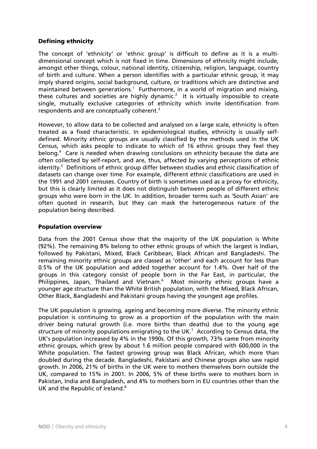# Defining ethnicity

The concept of 'ethnicity' or 'ethnic group' is difficult to define as it is a multidimensional concept which is not fixed in time. Dimensions of ethnicity might include, amongst other things, colour, national identity, citizenship, religion, language, country of birth and culture. When a person identifies with a particular ethnic group, it may imply shared origins, social background, culture, or traditions which are distinctive and maintained between generations.<sup>1</sup> Furthermore, in a world of migration and mixing, these cultures and societies are highly dynamic.<sup>2</sup> It is virtually impossible to create single, mutually exclusive categories of ethnicity which invite identification from respondents and are conceptually coherent.3

However, to allow data to be collected and analysed on a large scale, ethnicity is often treated as a fixed characteristic. In epidemiological studies, ethnicity is usually selfdefined. Minority ethnic groups are usually classified by the methods used in the UK Census, which asks people to indicate to which of 16 ethnic groups they feel they belong.<sup>4</sup> Care is needed when drawing conclusions on ethnicity because the data are often collected by self-report, and are, thus, affected by varying perceptions of ethnic identity.<sup>5</sup> Definitions of ethnic group differ between studies and ethnic classification of datasets can change over time. For example, different ethnic classifications are used in the 1991 and 2001 censuses. Country of birth is sometimes used as a proxy for ethnicity, but this is clearly limited as it does not distinguish between people of different ethnic groups who were born in the UK. In addition, broader terms such as 'South Asian' are often quoted in research, but they can mask the heterogeneous nature of the population being described.

#### Population overview

Data from the 2001 Census show that the majority of the UK population is White (92%). The remaining 8% belong to other ethnic groups of which the largest is Indian, followed by Pakistani, Mixed, Black Caribbean, Black African and Bangladeshi. The remaining minority ethnic groups are classed as 'other' and each account for less than 0.5% of the UK population and added together account for 1.4%. Over half of the groups in this category consist of people born in the Far East, in particular, the Philippines, Japan, Thailand and Vietnam.<sup>6</sup> Most minority ethnic groups have a younger age structure than the White British population, with the Mixed, Black African, Other Black, Bangladeshi and Pakistani groups having the youngest age profiles.

The UK population is growing, ageing and becoming more diverse. The minority ethnic population is continuing to grow as a proportion of the population with the main driver being natural growth (i.e. more births than deaths) due to the young age structure of minority populations emigrating to the UK.<sup>7</sup> According to Census data, the UK's population increased by 4% in the 1990s. Of this growth, 73% came from minority ethnic groups, which grew by about 1.6 million people compared with 600,000 in the White population. The fastest growing group was Black African, which more than doubled during the decade. Bangladeshi, Pakistani and Chinese groups also saw rapid growth. In 2006, 21% of births in the UK were to mothers themselves born outside the UK, compared to 15% in 2001. In 2006, 5% of these births were to mothers born in Pakistan, India and Bangladesh, and 4% to mothers born in EU countries other than the UK and the Republic of Ireland.<sup>8</sup>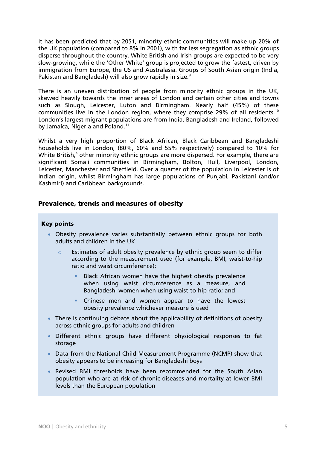It has been predicted that by 2051, minority ethnic communities will make up 20% of the UK population (compared to 8% in 2001), with far less segregation as ethnic groups disperse throughout the country. White British and Irish groups are expected to be very slow-growing, while the 'Other White' group is projected to grow the fastest, driven by immigration from Europe, the US and Australasia. Groups of South Asian origin (India, Pakistan and Bangladesh) will also grow rapidly in size.<sup>9</sup>

There is an uneven distribution of people from minority ethnic groups in the UK, skewed heavily towards the inner areas of London and certain other cities and towns such as Slough, Leicester, Luton and Birmingham. Nearly half (45%) of these communities live in the London region, where they comprise 29% of all residents.10 London's largest migrant populations are from India, Bangladesh and Ireland, followed by Jamaica, Nigeria and Poland.<sup>11</sup>

Whilst a very high proportion of Black African, Black Caribbean and Bangladeshi households live in London, (80%, 60% and 55% respectively) compared to 10% for White British,<sup>4</sup> other minority ethnic groups are more dispersed. For example, there are significant Somali communities in Birmingham, Bolton, Hull, Liverpool, London, Leicester, Manchester and Sheffield. Over a quarter of the population in Leicester is of Indian origin, whilst Birmingham has large populations of Punjabi, Pakistani (and/or Kashmiri) and Caribbean backgrounds.

# Prevalence, trends and measures of obesity

#### Key points

- Obesity prevalence varies substantially between ethnic groups for both adults and children in the UK
	- $\circ$  Estimates of adult obesity prevalence by ethnic group seem to differ according to the measurement used (for example, BMI, waist-to-hip ratio and waist circumference):
		- Black African women have the highest obesity prevalence when using waist circumference as a measure, and Bangladeshi women when using waist-to-hip ratio; and
		- **Chinese men and women appear to have the lowest** obesity prevalence whichever measure is used
- There is continuing debate about the applicability of definitions of obesity across ethnic groups for adults and children
- Different ethnic groups have different physiological responses to fat storage
- Data from the National Child Measurement Programme (NCMP) show that obesity appears to be increasing for Bangladeshi boys
- Revised BMI thresholds have been recommended for the South Asian population who are at risk of chronic diseases and mortality at lower BMI levels than the European population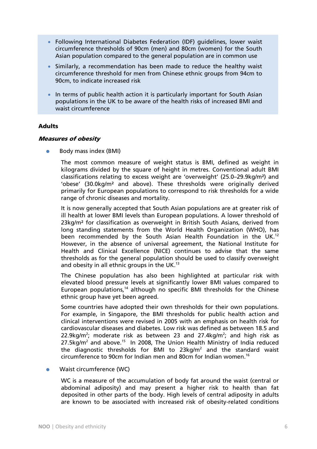- Following International Diabetes Federation (IDF) guidelines, lower waist circumference thresholds of 90cm (men) and 80cm (women) for the South Asian population compared to the general population are in common use
- Similarly, a recommendation has been made to reduce the healthy waist circumference threshold for men from Chinese ethnic groups from 94cm to 90cm, to indicate increased risk
- In terms of public health action it is particularly important for South Asian populations in the UK to be aware of the health risks of increased BMI and waist circumference

## Adults

#### Measures of obesity

Body mass index (BMI)

The most common measure of weight status is BMI, defined as weight in kilograms divided by the square of height in metres. Conventional adult BMI classifications relating to excess weight are 'overweight' (25.0–29.9kg/m²) and 'obese' (30.0kg/m² and above). These thresholds were originally derived primarily for European populations to correspond to risk thresholds for a wide range of chronic diseases and mortality.

It is now generally accepted that South Asian populations are at greater risk of ill health at lower BMI levels than European populations. A lower threshold of 23kg/m² for classification as overweight in British South Asians, derived from long standing statements from the World Health Organization (WHO), has been recommended by the South Asian Health Foundation in the UK.<sup>12</sup> However, in the absence of universal agreement, the National Institute for Health and Clinical Excellence (NICE) continues to advise that the same thresholds as for the general population should be used to classify overweight and obesity in all ethnic groups in the  $UK.<sup>13</sup>$ 

The Chinese population has also been highlighted at particular risk with elevated blood pressure levels at significantly lower BMI values compared to European populations,<sup>14</sup> although no specific BMI thresholds for the Chinese ethnic group have yet been agreed.

Some countries have adopted their own thresholds for their own populations. For example, in Singapore, the BMI thresholds for public health action and clinical interventions were revised in 2005 with an emphasis on health risk for cardiovascular diseases and diabetes. Low risk was defined as between 18.5 and 22.9kg/m<sup>2</sup>; moderate risk as between 23 and 27.4kg/m<sup>2</sup>; and high risk as  $27.5$ kg/m<sup>2</sup> and above.<sup>15</sup> In 2008, The Union Health Ministry of India reduced the diagnostic thresholds for BMI to  $23\text{kg/m}^2$  and the standard waist circumference to 90cm for Indian men and 80cm for Indian women.16

• Waist circumference (WC)

WC is a measure of the accumulation of body fat around the waist (central or abdominal adiposity) and may present a higher risk to health than fat deposited in other parts of the body. High levels of central adiposity in adults are known to be associated with increased risk of obesity-related conditions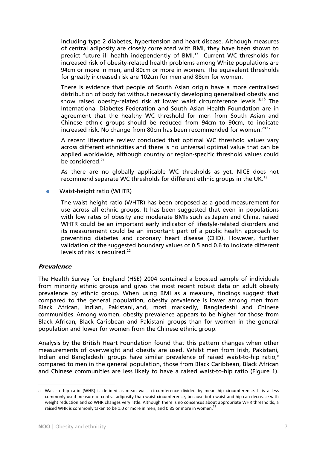including type 2 diabetes, hypertension and heart disease. Although measures of central adiposity are closely correlated with BMI, they have been shown to predict future ill health independently of BMI.<sup>17</sup> Current WC thresholds for increased risk of obesity-related health problems among White populations are 94cm or more in men, and 80cm or more in women. The equivalent thresholds for greatly increased risk are 102cm for men and 88cm for women.

There is evidence that people of South Asian origin have a more centralised distribution of body fat without necessarily developing generalised obesity and show raised obesity-related risk at lower waist circumference levels.<sup>18,19</sup> The International Diabetes Federation and South Asian Health Foundation are in agreement that the healthy WC threshold for men from South Asian and Chinese ethnic groups should be reduced from 94cm to 90cm, to indicate increased risk. No change from 80cm has been recommended for women.<sup>20,12</sup>

A recent literature review concluded that optimal WC threshold values vary across different ethnicities and there is no universal optimal value that can be applied worldwide, although country or region-specific threshold values could be considered.<sup>21</sup>

As there are no globally applicable WC thresholds as yet, NICE does not recommend separate WC thresholds for different ethnic groups in the UK.<sup>13</sup>

Waist-height ratio (WHTR)

The waist-height ratio (WHTR) has been proposed as a good measurement for use across all ethnic groups. It has been suggested that even in populations with low rates of obesity and moderate BMIs such as Japan and China, raised WHTR could be an important early indicator of lifestyle-related disorders and its measurement could be an important part of a public health approach to preventing diabetes and coronary heart disease (CHD). However, further validation of the suggested boundary values of 0.5 and 0.6 to indicate different levels of risk is required.<sup>22</sup>

#### **Prevalence**

 $\overline{a}$ 

The Health Survey for England (HSE) 2004 contained a boosted sample of individuals from minority ethnic groups and gives the most recent robust data on adult obesity prevalence by ethnic group. When using BMI as a measure, findings suggest that compared to the general population, obesity prevalence is lower among men from Black African, Indian, Pakistani, and, most markedly, Bangladeshi and Chinese communities. Among women, obesity prevalence appears to be higher for those from Black African, Black Caribbean and Pakistani groups than for women in the general population and lower for women from the Chinese ethnic group.

Analysis by the British Heart Foundation found that this pattern changes when other measurements of overweight and obesity are used. Whilst men from Irish, Pakistani, Indian and Bangladeshi groups have similar prevalence of raised waist-to-hip ratio,<sup>a</sup> compared to men in the general population, those from Black Caribbean, Black African and Chinese communities are less likely to have a raised waist-to-hip ratio (Figure 1).

a Waist-to-hip ratio (WHR) is defined as mean waist circumference divided by mean hip circumference. It is a less commonly used measure of central adiposity than waist circumference, because both waist and hip can decrease with weight reduction and so WHR changes very little. Although there is no consensus about appropriate WHR thresholds, a raised WHR is commonly taken to be 1.0 or more in men, and 0.85 or more in women.<sup>23</sup>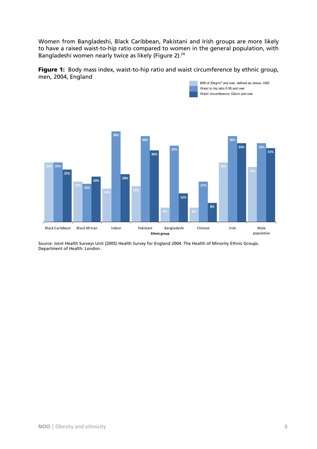Women from Bangladeshi, Black Caribbean, Pakistani and Irish groups are more likely to have a raised waist-to-hip ratio compared to women in the general population, with Bangladeshi women nearly twice as likely (Figure 2).<sup>24</sup>

Figure 1: Body mass index, waist-to-hip ratio and waist circumference by ethnic group, men, 2004, England

BMI of 30kg/m<sup>2</sup> and over, defined as obese, HSE

Waist to hip ratio 0.95 and over



Source: Joint Health Surveys Unit (2005) Health Survey for England 2004. The Health of Minority Ethnic Groups. Department of Health: London.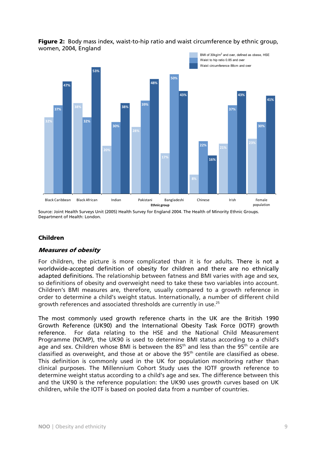

# Figure 2: Body mass index, waist-to-hip ratio and waist circumference by ethnic group, women, 2004, England

Source: Joint Health Surveys Unit (2005) Health Survey for England 2004. The Health of Minority Ethnic Groups. Department of Health: London.

# Children

# Measures of obesity

For children, the picture is more complicated than it is for adults. There is not a worldwide-accepted definition of obesity for children and there are no ethnically adapted definitions. The relationship between fatness and BMI varies with age and sex, so definitions of obesity and overweight need to take these two variables into account. Children's BMI measures are, therefore, usually compared to a growth reference in order to determine a child's weight status. Internationally, a number of different child growth references and associated thresholds are currently in use.25

The most commonly used growth reference charts in the UK are the British 1990 Growth Reference (UK90) and the International Obesity Task Force (IOTF) growth reference. For data relating to the HSE and the National Child Measurement Programme (NCMP), the UK90 is used to determine BMI status according to a child's age and sex. Children whose BMI is between the  $85<sup>th</sup>$  and less than the  $95<sup>th</sup>$  centile are classified as overweight, and those at or above the  $95<sup>th</sup>$  centile are classified as obese. This definition is commonly used in the UK for population monitoring rather than clinical purposes. The Millennium Cohort Study uses the IOTF growth reference to determine weight status according to a child's age and sex. The difference between this and the UK90 is the reference population: the UK90 uses growth curves based on UK children, while the IOTF is based on pooled data from a number of countries.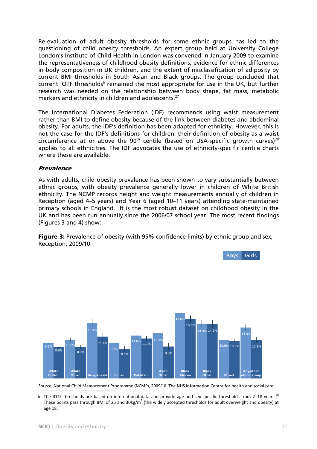Re-evaluation of adult obesity thresholds for some ethnic groups has led to the questioning of child obesity thresholds. An expert group held at University College London's Institute of Child Health in London was convened in January 2009 to examine the representativeness of childhood obesity definitions, evidence for ethnic differences in body composition in UK children, and the extent of misclassification of adiposity by current BMI thresholds in South Asian and Black groups. The group concluded that current IOTF thresholds<sup>b</sup> remained the most appropriate for use in the UK, but further research was needed on the relationship between body shape, fat mass, metabolic markers and ethnicity in children and adolescents.<sup>27</sup>

The International Diabetes Federation (IDF) recommends using waist measurement rather than BMI to define obesity because of the link between diabetes and abdominal obesity. For adults, the IDF's definition has been adapted for ethnicity. However, this is not the case for the IDF's definitions for children: their definition of obesity as a waist circumference at or above the  $90<sup>th</sup>$  centile (based on USA-specific growth curves)<sup>28</sup> applies to all ethnicities. The IDF advocates the use of ethnicity-specific centile charts where these are available.

## Prevalence

As with adults, child obesity prevalence has been shown to vary substantially between ethnic groups, with obesity prevalence generally lower in children of White British ethnicity. The NCMP records height and weight measurements annually of children in Reception (aged 4–5 years) and Year 6 (aged 10–11 years) attending state-maintained primary schools in England. It is the most robust dataset on childhood obesity in the UK and has been run annually since the 2006/07 school year. The most recent findings (Figures 3 and 4) show:

**Figure 3:** Prevalence of obesity (with 95% confidence limits) by ethnic group and sex, Reception, 2009/10



Source: National Child Measurement Programme (NCMP), 2009/10. The NHS Information Centre for health and social care

b The IOTF thresholds are based on international data and provide age and sex specific thresholds from 2–18 years.<sup>26</sup> These points pass through BMI of 25 and 30kg/m<sup>2</sup> (the widely accepted thresholds for adult overweight and obesity) at age 18.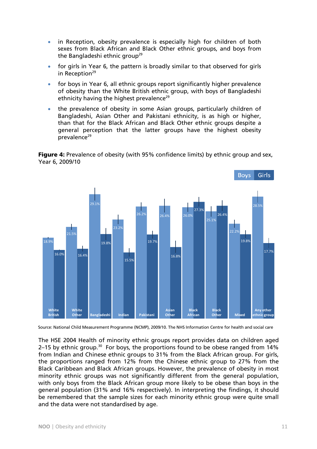- in Reception, obesity prevalence is especially high for children of both sexes from Black African and Black Other ethnic groups, and boys from the Bangladeshi ethnic group<sup>29</sup>
- for girls in Year 6, the pattern is broadly similar to that observed for girls in Reception $29$
- for boys in Year 6, all ethnic groups report significantly higher prevalence of obesity than the White British ethnic group, with boys of Bangladeshi ethnicity having the highest prevalence<sup>29</sup>
- the prevalence of obesity in some Asian groups, particularly children of Bangladeshi, Asian Other and Pakistani ethnicity, is as high or higher, than that for the Black African and Black Other ethnic groups despite a general perception that the latter groups have the highest obesity prevalence<sup>29</sup>

**Figure 4:** Prevalence of obesity (with 95% confidence limits) by ethnic group and sex, Year 6, 2009/10



Source: National Child Measurement Programme (NCMP), 2009/10. The NHS Information Centre for health and social care

The HSE 2004 Health of minority ethnic groups report provides data on children aged 2–15 by ethnic group.<sup>30</sup> For boys, the proportions found to be obese ranged from  $14\%$ from Indian and Chinese ethnic groups to 31% from the Black African group. For girls, the proportions ranged from 12% from the Chinese ethnic group to 27% from the Black Caribbean and Black African groups. However, the prevalence of obesity in most minority ethnic groups was not significantly different from the general population, with only boys from the Black African group more likely to be obese than boys in the general population (31% and 16% respectively). In interpreting the findings, it should be remembered that the sample sizes for each minority ethnic group were quite small and the data were not standardised by age.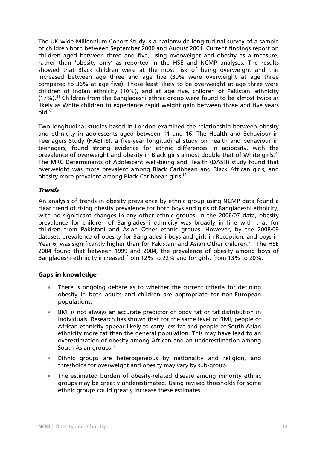The UK-wide Millennium Cohort Study is a nationwide longitudinal survey of a sample of children born between September 2000 and August 2001. Current findings report on children aged between three and five, using overweight and obesity as a measure, rather than 'obesity only' as reported in the HSE and NCMP analyses. The results showed that Black children were at the most risk of being overweight and this increased between age three and age five (30% were overweight at age three compared to 36% at age five). Those least likely to be overweight at age three were children of Indian ethnicity (10%), and at age five, children of Pakistani ethnicity  $(17\%)$ .<sup>31</sup> Children from the Bangladeshi ethnic group were found to be almost twice as likely as White children to experience rapid weight gain between three and five years  $ol<sub>32</sub>$ 

Two longitudinal studies based in London examined the relationship between obesity and ethnicity in adolescents aged between 11 and 16. The Health and Behaviour in Teenagers Study (HABITS), a five-year longitudinal study on health and behaviour in teenagers, found strong evidence for ethnic differences in adiposity, with the prevalence of overweight and obesity in Black girls almost double that of White girls.<sup>33</sup> The MRC Determinants of Adolescent well-being and Health (DASH) study found that overweight was more prevalent among Black Caribbean and Black African girls, and obesity more prevalent among Black Caribbean girls.34

## **Trends**

An analysis of trends in obesity prevalence by ethnic group using NCMP data found a clear trend of rising obesity prevalence for both boys and girls of Bangladeshi ethnicity, with no significant changes in any other ethnic groups. In the 2006/07 data, obesity prevalence for children of Bangladeshi ethnicity was broadly in line with that for children from Pakistani and Asian Other ethnic groups. However, by the 2008/09 dataset, prevalence of obesity for Bangladeshi boys and girls in Reception, and boys in Year 6, was significantly higher than for Pakistani and Asian Other children.<sup>29</sup> The HSE 2004 found that between 1999 and 2004, the prevalence of obesity among boys of Bangladeshi ethnicity increased from 12% to 22% and for girls, from 13% to 20%.

# Gaps in knowledge

- There is ongoing debate as to whether the current criteria for defining obesity in both adults and children are appropriate for non-European populations.
- BMI is not always an accurate predictor of body fat or fat distribution in individuals. Research has shown that for the same level of BMI, people of African ethnicity appear likely to carry less fat and people of South Asian ethnicity more fat than the general population. This may have lead to an overestimation of obesity among African and an underestimation among South Asian groups.<sup>35</sup>
- Ethnic groups are heterogeneous by nationality and religion, and thresholds for overweight and obesity may vary by sub-group.
- The estimated burden of obesity-related disease among minority ethnic groups may be greatly underestimated. Using revised thresholds for some ethnic groups could greatly increase these estimates.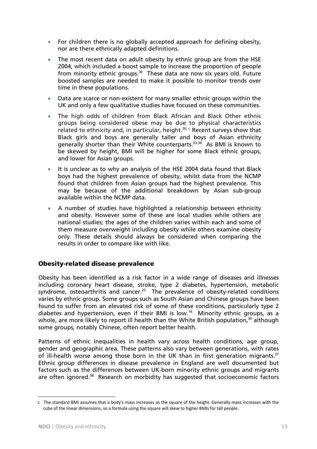- For children there is no globally accepted approach for defining obesity, nor are there ethnically adapted definitions.
- The most recent data on adult obesity by ethnic group are from the HSE 2004, which included a boost sample to increase the proportion of people from minority ethnic groups. $30$  These data are now six years old. Future boosted samples are needed to make it possible to monitor trends over time in these populations.
- Data are scarce or non-existent for many smaller ethnic groups within the UK and only a few qualitative studies have focused on these communities.
- The high odds of children from Black African and Black Other ethnic groups being considered obese may be due to physical characteristics related to ethnicity and, in particular, height.<sup>36, c</sup> Recent surveys show that Black girls and boys are generally taller and boys of Asian ethnicity generally shorter than their White counterparts.<sup>33,34</sup> As BMI is known to be skewed by height, BMI will be higher for some Black ethnic groups, and lower for Asian groups.
- It is unclear as to why an analysis of the HSE 2004 data found that Black boys had the highest prevalence of obesity, whilst data from the NCMP found that children from Asian groups had the highest prevalence. This may be because of the additional breakdown by Asian sub-group available within the NCMP data.
- A number of studies have highlighted a relationship between ethnicity and obesity. However some of these are local studies while others are national studies; the ages of the children varies within each and some of them measure overweight including obesity while others examine obesity only. These details should always be considered when comparing the results in order to compare like with like.

# Obesity-related disease prevalence

Obesity has been identified as a risk factor in a wide range of diseases and illnesses including coronary heart disease, stroke, type 2 diabetes, hypertension, metabolic syndrome, osteoarthritis and cancer.<sup>23</sup> The prevalence of obesity-related conditions varies by ethnic group. Some groups such as South Asian and Chinese groups have been found to suffer from an elevated risk of some of these conditions, particularly type 2 diabetes and hypertension, even if their BMI is low.14 Minority ethnic groups, as a whole, are more likely to report ill health than the White British population,<sup>30</sup> although some groups, notably Chinese, often report better health.

Patterns of ethnic inequalities in health vary across health conditions, age group, gender and geographic area. These patterns also vary between generations, with rates of ill-health worse among those born in the UK than in first generation migrants.<sup>37</sup> Ethnic group differences in disease prevalence in England are well documented but factors such as the differences between UK-born minority ethnic groups and migrants are often ignored.<sup>38</sup> Research on morbidity has suggested that socioeconomic factors

c The standard BMI assumes that a body's mass increases as the square of the height. Generally mass increases with the cube of the linear dimensions, so a formula using the square will skew to higher BMIs for tall people.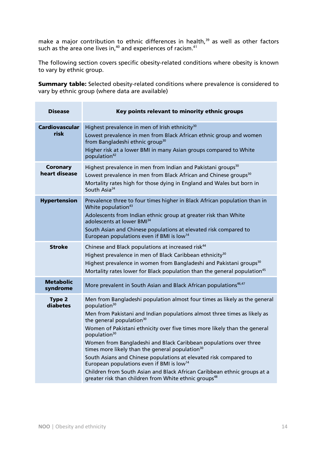make a major contribution to ethnic differences in health, $39$  as well as other factors such as the area one lives in, $^{40}$  and experiences of racism. $^{41}$ 

The following section covers specific obesity-related conditions where obesity is known to vary by ethnic group.

Summary table: Selected obesity-related conditions where prevalence is considered to vary by ethnic group (where data are available)

| <b>Disease</b>                   | Key points relevant to minority ethnic groups                                                                                                                                                                                                                                                                                                                                                                                                                                                                                                                                                                                                                                                                                                           |
|----------------------------------|---------------------------------------------------------------------------------------------------------------------------------------------------------------------------------------------------------------------------------------------------------------------------------------------------------------------------------------------------------------------------------------------------------------------------------------------------------------------------------------------------------------------------------------------------------------------------------------------------------------------------------------------------------------------------------------------------------------------------------------------------------|
| <b>Cardiovascular</b><br>risk    | Highest prevalence in men of Irish ethnicity <sup>30</sup><br>Lowest prevalence in men from Black African ethnic group and women<br>from Bangladeshi ethnic group <sup>30</sup><br>Higher risk at a lower BMI in many Asian groups compared to White<br>population <sup>42</sup>                                                                                                                                                                                                                                                                                                                                                                                                                                                                        |
| <b>Coronary</b><br>heart disease | Highest prevalence in men from Indian and Pakistani groups <sup>30</sup><br>Lowest prevalence in men from Black African and Chinese groups <sup>30</sup><br>Mortality rates high for those dying in England and Wales but born in<br>South Asia <sup>24</sup>                                                                                                                                                                                                                                                                                                                                                                                                                                                                                           |
| <b>Hypertension</b>              | Prevalence three to four times higher in Black African population than in<br>White population <sup>43</sup><br>Adolescents from Indian ethnic group at greater risk than White<br>adolescents at lower BMI <sup>34</sup><br>South Asian and Chinese populations at elevated risk compared to<br>European populations even if BMI is low <sup>14</sup>                                                                                                                                                                                                                                                                                                                                                                                                   |
| <b>Stroke</b>                    | Chinese and Black populations at increased risk <sup>44</sup><br>Highest prevalence in men of Black Caribbean ethnicity <sup>30</sup><br>Highest prevalence in women from Bangladeshi and Pakistani groups <sup>30</sup><br>Mortality rates lower for Black population than the general population <sup>45</sup>                                                                                                                                                                                                                                                                                                                                                                                                                                        |
| <b>Metabolic</b><br>syndrome     | More prevalent in South Asian and Black African populations <sup>46,47</sup>                                                                                                                                                                                                                                                                                                                                                                                                                                                                                                                                                                                                                                                                            |
| <b>Type 2</b><br>diabetes        | Men from Bangladeshi population almost four times as likely as the general<br>population <sup>30</sup><br>Men from Pakistani and Indian populations almost three times as likely as<br>the general population <sup>30</sup><br>Women of Pakistani ethnicity over five times more likely than the general<br>population <sup>30</sup><br>Women from Bangladeshi and Black Caribbean populations over three<br>times more likely than the general population <sup>30</sup><br>South Asians and Chinese populations at elevated risk compared to<br>European populations even if BMI is low <sup>14</sup><br>Children from South Asian and Black African Caribbean ethnic groups at a<br>greater risk than children from White ethnic groups <sup>48</sup> |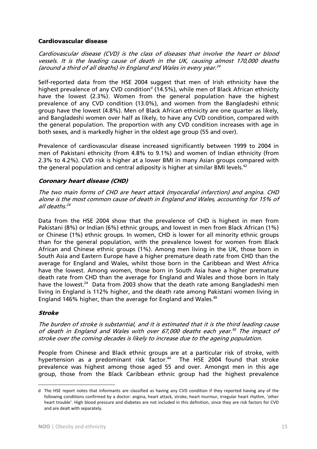## Cardiovascular disease

Cardiovascular disease (CVD) is the class of diseases that involve the heart or blood vessels. It is the leading cause of death in the UK, causing almost 170,000 deaths (around a third of all deaths) in England and Wales in every year. $^{24}$ 

Self-reported data from the HSE 2004 suggest that men of Irish ethnicity have the highest prevalence of any CVD condition<sup>d</sup> (14.5%), while men of Black African ethnicity have the lowest (2.3%). Women from the general population have the highest prevalence of any CVD condition (13.0%), and women from the Bangladeshi ethnic group have the lowest (4.8%). Men of Black African ethnicity are one quarter as likely, and Bangladeshi women over half as likely, to have any CVD condition, compared with the general population. The proportion with any CVD condition increases with age in both sexes, and is markedly higher in the oldest age group (55 and over).

Prevalence of cardiovascular disease increased significantly between 1999 to 2004 in men of Pakistani ethnicity (from 4.8% to 9.1%) and women of Indian ethnicity (from 2.3% to 4.2%). CVD risk is higher at a lower BMI in many Asian groups compared with the general population and central adiposity is higher at similar BMI levels.<sup>42</sup>

## Coronary heart disease (CHD)

The two main forms of CHD are heart attack (myocardial infarction) and angina. CHD alone is the most common cause of death in England and Wales, accounting for 15% of all deaths.<sup>24</sup>

Data from the HSE 2004 show that the prevalence of CHD is highest in men from Pakistani (8%) or Indian (6%) ethnic groups, and lowest in men from Black African (1%) or Chinese (1%) ethnic groups. In women, CHD is lower for all minority ethnic groups than for the general population, with the prevalence lowest for women from Black African and Chinese ethnic groups (1%). Among men living in the UK, those born in South Asia and Eastern Europe have a higher premature death rate from CHD than the average for England and Wales, whilst those born in the Caribbean and West Africa have the lowest. Among women, those born in South Asia have a higher premature death rate from CHD than the average for England and Wales and those born in Italy have the lowest.<sup>24</sup> Data from 2003 show that the death rate among Bangladeshi men living in England is 112% higher, and the death rate among Pakistani women living in England 146% higher, than the average for England and Wales.<sup>49</sup>

#### Stroke

 $\overline{a}$ 

The burden of stroke is substantial, and it is estimated that it is the third leading cause of death in England and Wales with over 67,000 deaths each year.<sup>50</sup> The impact of stroke over the coming decades is likely to increase due to the ageing population.

People from Chinese and Black ethnic groups are at a particular risk of stroke, with hypertension as a predominant risk factor.<sup>44</sup> The HSE 2004 found that stroke prevalence was highest among those aged 55 and over. Amongst men in this age group, those from the Black Caribbean ethnic group had the highest prevalence

d The HSE report notes that informants are classified as having any CVD condition if they reported having any of the following conditions confirmed by a doctor: angina, heart attack, stroke, heart murmur, irregular heart rhythm, 'other heart trouble'. High blood pressure and diabetes are not included in this definition, since they are risk factors for CVD and are dealt with separately.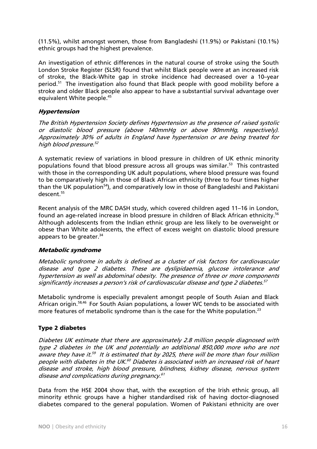(11.5%), whilst amongst women, those from Bangladeshi (11.9%) or Pakistani (10.1%) ethnic groups had the highest prevalence.

An investigation of ethnic differences in the natural course of stroke using the South London Stroke Register (SLSR) found that whilst Black people were at an increased risk of stroke, the Black-White gap in stroke incidence had decreased over a 10–year period.51 The investigation also found that Black people with good mobility before a stroke and older Black people also appear to have a substantial survival advantage over equivalent White people.45

#### Hypertension

The British Hypertension Society defines Hypertension as the presence of raised systolic or diastolic blood pressure (above 140mmHg or above 90mmHg, respectively). Approximately 30% of adults in England have hypertension or are being treated for high blood pressure.<sup>52</sup>

A systematic review of variations in blood pressure in children of UK ethnic minority populations found that blood pressure across all groups was similar.<sup>53</sup> This contrasted with those in the corresponding UK adult populations, where blood pressure was found to be comparatively high in those of Black African ethnicity (three to four times higher than the UK population<sup>54</sup>), and comparatively low in those of Bangladeshi and Pakistani descent.<sup>55</sup>

Recent analysis of the MRC DASH study, which covered children aged 11–16 in London, found an age-related increase in blood pressure in children of Black African ethnicity.<sup>56</sup> Although adolescents from the Indian ethnic group are less likely to be overweight or obese than White adolescents, the effect of excess weight on diastolic blood pressure appears to be greater. $34$ 

#### Metabolic syndrome

Metabolic syndrome in adults is defined as a cluster of risk factors for cardiovascular disease and type 2 diabetes. These are dyslipidaemia, glucose intolerance and hypertension as well as abdominal obesity. The presence of three or more components significantly increases a person's risk of cardiovascular disease and type 2 diabetes.<sup>57</sup>

Metabolic syndrome is especially prevalent amongst people of South Asian and Black African origin.58,46 For South Asian populations, a lower WC tends to be associated with more features of metabolic syndrome than is the case for the White population.<sup>23</sup>

# Type 2 diabetes

Diabetes UK estimate that there are approximately 2.8 million people diagnosed with type 2 diabetes in the UK and potentially an additional 850,000 more who are not aware they have it.<sup>59</sup> It is estimated that by 2025, there will be more than four million people with diabetes in the UK.<sup>60</sup> Diabetes is associated with an increased risk of heart disease and stroke, high blood pressure, blindness, kidney disease, nervous system disease and complications during pregnancy.<sup>61</sup>

Data from the HSE 2004 show that, with the exception of the Irish ethnic group, all minority ethnic groups have a higher standardised risk of having doctor-diagnosed diabetes compared to the general population. Women of Pakistani ethnicity are over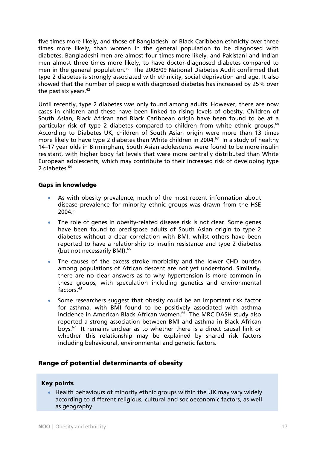five times more likely, and those of Bangladeshi or Black Caribbean ethnicity over three times more likely, than women in the general population to be diagnosed with diabetes. Bangladeshi men are almost four times more likely, and Pakistani and Indian men almost three times more likely, to have doctor-diagnosed diabetes compared to men in the general population.<sup>30</sup> The 2008/09 National Diabetes Audit confirmed that type 2 diabetes is strongly associated with ethnicity, social deprivation and age. It also showed that the number of people with diagnosed diabetes has increased by 25% over the past six years. $62$ 

Until recently, type 2 diabetes was only found among adults. However, there are now cases in children and these have been linked to rising levels of obesity. Children of South Asian, Black African and Black Caribbean origin have been found to be at a particular risk of type 2 diabetes compared to children from white ethnic groups.<sup>48</sup> According to Diabetes UK, children of South Asian origin were more than 13 times more likely to have type 2 diabetes than White children in 2004.<sup>63</sup> In a study of healthy 14–17 year olds in Birmingham, South Asian adolescents were found to be more insulin resistant, with higher body fat levels that were more centrally distributed than White European adolescents, which may contribute to their increased risk of developing type 2 diabetes.<sup>64</sup>

#### Gaps in knowledge

- As with obesity prevalence, much of the most recent information about disease prevalence for minority ethnic groups was drawn from the HSE 2004.30
- The role of genes in obesity-related disease risk is not clear. Some genes have been found to predispose adults of South Asian origin to type 2 diabetes without a clear correlation with BMI, whilst others have been reported to have a relationship to insulin resistance and type 2 diabetes (but not necessarily BMI).<sup>65</sup>
- The causes of the excess stroke morbidity and the lower CHD burden among populations of African descent are not yet understood. Similarly, there are no clear answers as to why hypertension is more common in these groups, with speculation including genetics and environmental factors.<sup>43</sup>
- Some researchers suggest that obesity could be an important risk factor for asthma, with BMI found to be positively associated with asthma incidence in American Black African women.<sup>66</sup> The MRC DASH study also reported a strong association between BMI and asthma in Black African boys. $67$  It remains unclear as to whether there is a direct causal link or whether this relationship may be explained by shared risk factors including behavioural, environmental and genetic factors.

# Range of potential determinants of obesity

#### Key points

• Health behaviours of minority ethnic groups within the UK may vary widely according to different religious, cultural and socioeconomic factors, as well as geography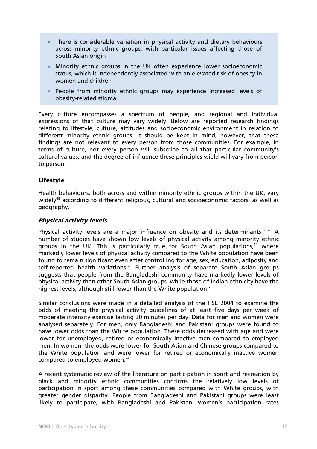- There is considerable variation in physical activity and dietary behaviours across minority ethnic groups, with particular issues affecting those of South Asian origin
- Minority ethnic groups in the UK often experience lower socioeconomic status, which is independently associated with an elevated risk of obesity in women and children
- People from minority ethnic groups may experience increased levels of obesity-related stigma

Every culture encompasses a spectrum of people, and regional and individual expressions of that culture may vary widely. Below are reported research findings relating to lifestyle, culture, attitudes and socioeconomic environment in relation to different minority ethnic groups. It should be kept in mind, however, that these findings are not relevant to every person from those communities. For example, in terms of culture, not every person will subscribe to all that particular community's cultural values, and the degree of influence these principles wield will vary from person to person.

# Lifestyle

Health behaviours, both across and within minority ethnic groups within the UK, vary widely<sup>68</sup> according to different religious, cultural and socioeconomic factors, as well as geography.

# Physical activity levels

Physical activity levels are a major influence on obesity and its determinants.<sup>69,70</sup> A number of studies have shown low levels of physical activity among minority ethnic groups in the UK. This is particularly true for South Asian populations, $7^1$  where markedly lower levels of physical activity compared to the White population have been found to remain significant even after controlling for age, sex, education, adiposity and self-reported health variations.<sup>72</sup> Further analysis of separate South Asian groups suggests that people from the Bangladeshi community have markedly lower levels of physical activity than other South Asian groups, while those of Indian ethnicity have the highest levels, although still lower than the White population.<sup>73</sup>

Similar conclusions were made in a detailed analysis of the HSE 2004 to examine the odds of meeting the physical activity guidelines of at least five days per week of moderate intensity exercise lasting 30 minutes per day. Data for men and women were analysed separately. For men, only Bangladeshi and Pakistani groups were found to have lower odds than the White population. These odds decreased with age and were lower for unemployed, retired or economically inactive men compared to employed men. In women, the odds were lower for South Asian and Chinese groups compared to the White population and were lower for retired or economically inactive women compared to employed women.<sup>74</sup>

A recent systematic review of the literature on participation in sport and recreation by black and minority ethnic communities confirms the relatively low levels of participation in sport among these communities compared with White groups, with greater gender disparity. People from Bangladeshi and Pakistani groups were least likely to participate, with Bangladeshi and Pakistani women's participation rates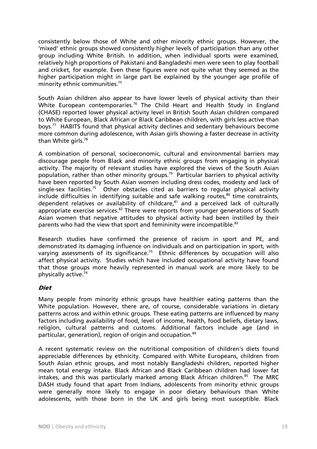consistently below those of White and other minority ethnic groups. However, the 'mixed' ethnic groups showed consistently higher levels of participation than any other group including White British. In addition, when individual sports were examined, relatively high proportions of Pakistani and Bangladeshi men were seen to play football and cricket, for example. Even these figures were not quite what they seemed as the higher participation might in large part be explained by the younger age profile of minority ethnic communities.<sup>75</sup>

South Asian children also appear to have lower levels of physical activity than their White European contemporaries.<sup>76</sup> The Child Heart and Health Study in England (CHASE) reported lower physical activity level in British South Asian children compared to White European, Black African or Black Caribbean children, with girls less active than boys.77 HABITS found that physical activity declines and sedentary behaviours become more common during adolescence, with Asian girls showing a faster decrease in activity than White girls.<sup>78</sup>

A combination of personal, socioeconomic, cultural and environmental barriers may discourage people from Black and minority ethnic groups from engaging in physical activity. The majority of relevant studies have explored the views of the South Asian population, rather than other minority groups.<sup>79</sup> Particular barriers to physical activity have been reported by South Asian women including dress codes, modesty and lack of single-sex facilities.<sup>75</sup> Other obstacles cited as barriers to regular physical activity include difficulties in identifying suitable and safe walking routes.<sup>80</sup> time constraints, dependent relatives or availability of childcare, $81$  and a perceived lack of culturally appropriate exercise services. $82$  There were reports from younger generations of South Asian women that negative attitudes to physical activity had been instilled by their parents who had the view that sport and femininity were incompatible.<sup>83</sup>

Research studies have confirmed the presence of racism in sport and PE, and demonstrated its damaging influence on individuals and on participation in sport, with varying assessments of its significance.<sup>75</sup> Ethnic differences by occupation will also affect physical activity. Studies which have included occupational activity have found that those groups more heavily represented in manual work are more likely to be physically active.74

#### Diet

Many people from minority ethnic groups have healthier eating patterns than the White population. However, there are, of course, considerable variations in dietary patterns across and within ethnic groups. These eating patterns are influenced by many factors including availability of food, level of income, health, food beliefs, dietary laws, religion, cultural patterns and customs. Additional factors include age (and in particular, generation), region of origin and occupation.84

A recent systematic review on the nutritional composition of children's diets found appreciable differences by ethnicity. Compared with White Europeans, children from South Asian ethnic groups, and most notably Bangladeshi children, reported higher mean total energy intake. Black African and Black Caribbean children had lower fat intakes, and this was particularly marked among Black African children.<sup>85</sup> The MRC DASH study found that apart from Indians, adolescents from minority ethnic groups were generally more likely to engage in poor dietary behaviours than White adolescents, with those born in the UK and girls being most susceptible. Black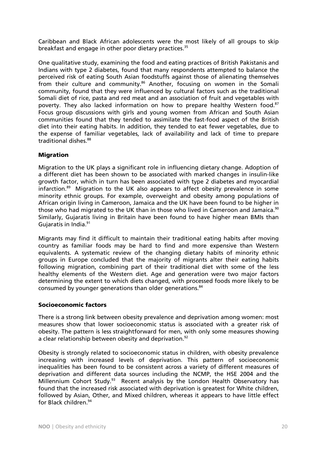Caribbean and Black African adolescents were the most likely of all groups to skip breakfast and engage in other poor dietary practices.<sup>35</sup>

One qualitative study, examining the food and eating practices of British Pakistanis and Indians with type 2 diabetes, found that many respondents attempted to balance the perceived risk of eating South Asian foodstuffs against those of alienating themselves from their culture and community.<sup>86</sup> Another, focusing on women in the Somali community, found that they were influenced by cultural factors such as the traditional Somali diet of rice, pasta and red meat and an association of fruit and vegetables with poverty. They also lacked information on how to prepare healthy Western food.<sup>87</sup> Focus group discussions with girls and young women from African and South Asian communities found that they tended to assimilate the fast-food aspect of the British diet into their eating habits. In addition, they tended to eat fewer vegetables, due to the expense of familiar vegetables, lack of availability and lack of time to prepare traditional dishes.<sup>88</sup>

## Migration

Migration to the UK plays a significant role in influencing dietary change. Adoption of a different diet has been shown to be associated with marked changes in insulin-like growth factor, which in turn has been associated with type 2 diabetes and myocardial infarction.89 Migration to the UK also appears to affect obesity prevalence in some minority ethnic groups. For example, overweight and obesity among populations of African origin living in Cameroon, Jamaica and the UK have been found to be higher in those who had migrated to the UK than in those who lived in Cameroon and Jamaica.<sup>90</sup> Similarly, Gujaratis living in Britain have been found to have higher mean BMIs than Gujaratis in India.91

Migrants may find it difficult to maintain their traditional eating habits after moving country as familiar foods may be hard to find and more expensive than Western equivalents. A systematic review of the changing dietary habits of minority ethnic groups in Europe concluded that the majority of migrants alter their eating habits following migration, combining part of their traditional diet with some of the less healthy elements of the Western diet. Age and generation were two major factors determining the extent to which diets changed, with processed foods more likely to be consumed by younger generations than older generations.<sup>84</sup>

#### Socioeconomic factors

There is a strong link between obesity prevalence and deprivation among women: most measures show that lower socioeconomic status is associated with a greater risk of obesity. The pattern is less straightforward for men, with only some measures showing a clear relationship between obesity and deprivation.<sup>92</sup>

Obesity is strongly related to socioeconomic status in children, with obesity prevalence increasing with increased levels of deprivation. This pattern of socioeconomic inequalities has been found to be consistent across a variety of different measures of deprivation and different data sources including the NCMP, the HSE 2004 and the Millennium Cohort Study.<sup>93</sup> Recent analysis by the London Health Observatory has found that the increased risk associated with deprivation is greatest for White children, followed by Asian, Other, and Mixed children, whereas it appears to have little effect for Black children.94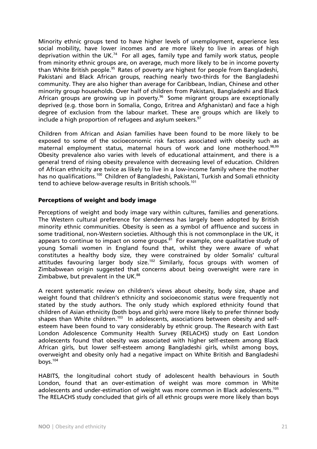Minority ethnic groups tend to have higher levels of unemployment, experience less social mobility, have lower incomes and are more likely to live in areas of high deprivation within the UK.<sup>74</sup> For all ages, family type and family work status, people from minority ethnic groups are, on average, much more likely to be in income poverty than White British people.<sup>95</sup> Rates of poverty are highest for people from Bangladeshi, Pakistani and Black African groups, reaching nearly two-thirds for the Bangladeshi community. They are also higher than average for Caribbean, Indian, Chinese and other minority group households. Over half of children from Pakistani, Bangladeshi and Black African groups are growing up in poverty.<sup>96</sup> Some migrant groups are exceptionally deprived (e.g. those born in Somalia, Congo, Eritrea and Afghanistan) and face a high degree of exclusion from the labour market. These are groups which are likely to include a high proportion of refugees and asylum seekers.<sup>97</sup>

Children from African and Asian families have been found to be more likely to be exposed to some of the socioeconomic risk factors associated with obesity such as maternal employment status, maternal hours of work and lone motherhood.<sup>98,99</sup> Obesity prevalence also varies with levels of educational attainment, and there is a general trend of rising obesity prevalence with decreasing level of education. Children of African ethnicity are twice as likely to live in a low-income family where the mother has no qualifications.<sup>100</sup> Children of Bangladeshi, Pakistani, Turkish and Somali ethnicity tend to achieve below-average results in British schools.<sup>101</sup>

## Perceptions of weight and body image

Perceptions of weight and body image vary within cultures, families and generations. The Western cultural preference for slenderness has largely been adopted by British minority ethnic communities. Obesity is seen as a symbol of affluence and success in some traditional, non-Western societies. Although this is not commonplace in the UK, it appears to continue to impact on some groups. $81$  For example, one qualitative study of young Somali women in England found that, whilst they were aware of what constitutes a healthy body size, they were constrained by older Somalis' cultural attitudes favouring larger body size.102 Similarly, focus groups with women of Zimbabwean origin suggested that concerns about being overweight were rare in Zimbabwe, but prevalent in the UK. $^{88}$ 

A recent systematic review on children's views about obesity, body size, shape and weight found that children's ethnicity and socioeconomic status were frequently not stated by the study authors. The only study which explored ethnicity found that children of Asian ethnicity (both boys and girls) were more likely to prefer thinner body shapes than White children.<sup>103</sup> In adolescents, associations between obesity and selfesteem have been found to vary considerably by ethnic group. The Research with East London Adolescence Community Health Survey (RELACHS) study on East London adolescents found that obesity was associated with higher self-esteem among Black African girls, but lower self-esteem among Bangladeshi girls, whilst among boys, overweight and obesity only had a negative impact on White British and Bangladeshi boys.104

HABITS, the longitudinal cohort study of adolescent health behaviours in South London, found that an over-estimation of weight was more common in White adolescents and under-estimation of weight was more common in Black adolescents.<sup>105</sup> The RELACHS study concluded that girls of all ethnic groups were more likely than boys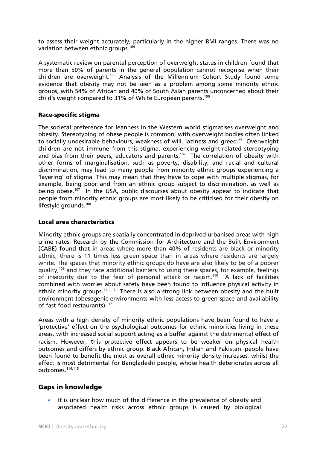to assess their weight accurately, particularly in the higher BMI ranges. There was no variation between ethnic groups.104

A systematic review on parental perception of overweight status in children found that more than 50% of parents in the general population cannot recognise when their children are overweight.106 Analysis of the Millennium Cohort Study found some evidence that obesity may not be seen as a problem among some minority ethnic groups, with 54% of African and 40% of South Asian parents unconcerned about their child's weight compared to 31% of White European parents.<sup>100</sup>

## Race-specific stigma

The societal preference for leanness in the Western world stigmatises overweight and obesity. Stereotyping of obese people is common, with overweight bodies often linked to socially undesirable behaviours, weakness of will, laziness and greed.<sup>85</sup> Overweight children are not immune from this stigma, experiencing weight-related stereotyping and bias from their peers, educators and parents.<sup>107</sup> The correlation of obesity with other forms of marginalisation, such as poverty, disability, and racial and cultural discrimination, may lead to many people from minority ethnic groups experiencing a 'layering' of stigma. This may mean that they have to cope with multiple stigmas, for example, being poor and from an ethnic group subject to discrimination, as well as being obese.<sup>107</sup> In the USA, public discourses about obesity appear to indicate that people from minority ethnic groups are most likely to be criticised for their obesity on lifestyle grounds.<sup>108</sup>

#### Local area characteristics

Minority ethnic groups are spatially concentrated in deprived urbanised areas with high crime rates. Research by the Commission for Architecture and the Built Environment (CABE) found that in areas where more than 40% of residents are black or minority ethnic, there is 11 times less green space than in areas where residents are largely white. The spaces that minority ethnic groups do have are also likely to be of a poorer quality,<sup>109</sup> and they face additional barriers to using these spaces, for example, feelings of insecurity due to the fear of personal attack or racism.<sup>110</sup> A lack of facilities combined with worries about safety have been found to influence physical activity in ethnic minority groups.<sup>111,112</sup> There is also a strong link between obesity and the built environment (obesegenic environments with less access to green space and availability of fast-food restaurants).<sup>113</sup>

Areas with a high density of minority ethnic populations have been found to have a 'protective' effect on the psychological outcomes for ethnic minorities living in these areas, with increased social support acting as a buffer against the detrimental effect of racism. However, this protective effect appears to be weaker on physical health outcomes and differs by ethnic group. Black African, Indian and Pakistani people have been found to benefit the most as overall ethnic minority density increases, whilst the effect is most detrimental for Bangladeshi people, whose health deteriorates across all outcomes.114,115

# Gaps in knowledge

It is unclear how much of the difference in the prevalence of obesity and associated health risks across ethnic groups is caused by biological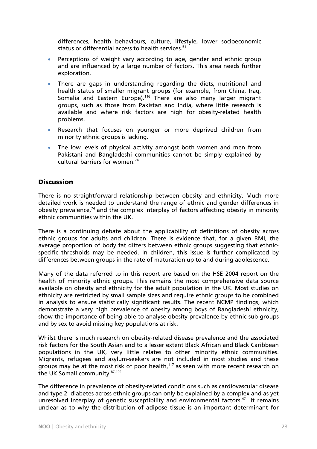differences, health behaviours, culture, lifestyle, lower socioeconomic status or differential access to health services.<sup>51</sup>

- Perceptions of weight vary according to age, gender and ethnic group and are influenced by a large number of factors. This area needs further exploration.
- There are gaps in understanding regarding the diets, nutritional and health status of smaller migrant groups (for example, from China, Iraq, Somalia and Eastern Europe).<sup>116</sup> There are also many larger migrant groups, such as those from Pakistan and India, where little research is available and where risk factors are high for obesity-related health problems.
- Research that focuses on younger or more deprived children from minority ethnic groups is lacking.
- The low levels of physical activity amongst both women and men from Pakistani and Bangladeshi communities cannot be simply explained by cultural barriers for women.<sup>74</sup>

# **Discussion**

There is no straightforward relationship between obesity and ethnicity. Much more detailed work is needed to understand the range of ethnic and gender differences in obesity prevalence, $74$  and the complex interplay of factors affecting obesity in minority ethnic communities within the UK.

There is a continuing debate about the applicability of definitions of obesity across ethnic groups for adults and children. There is evidence that, for a given BMI, the average proportion of body fat differs between ethnic groups suggesting that ethnicspecific thresholds may be needed. In children, this issue is further complicated by differences between groups in the rate of maturation up to and during adolescence.

Many of the data referred to in this report are based on the HSE 2004 report on the health of minority ethnic groups. This remains the most comprehensive data source available on obesity and ethnicity for the adult population in the UK. Most studies on ethnicity are restricted by small sample sizes and require ethnic groups to be combined in analysis to ensure statistically significant results. The recent NCMP findings, which demonstrate a very high prevalence of obesity among boys of Bangladeshi ethnicity, show the importance of being able to analyse obesity prevalence by ethnic sub-groups and by sex to avoid missing key populations at risk.

Whilst there is much research on obesity-related disease prevalence and the associated risk factors for the South Asian and to a lesser extent Black African and Black Caribbean populations in the UK, very little relates to other minority ethnic communities. Migrants, refugees and asylum-seekers are not included in most studies and these groups may be at the most risk of poor health,<sup>117</sup> as seen with more recent research on the UK Somali community.<sup>87,102</sup>

The difference in prevalence of obesity-related conditions such as cardiovascular disease and type 2 diabetes across ethnic groups can only be explained by a complex and as yet unresolved interplay of genetic susceptibility and environmental factors.<sup>47</sup> It remains unclear as to why the distribution of adipose tissue is an important determinant for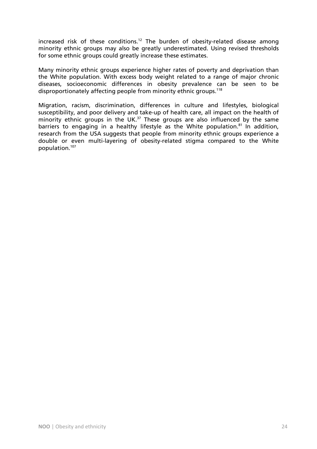increased risk of these conditions.<sup>12</sup> The burden of obesity-related disease among minority ethnic groups may also be greatly underestimated. Using revised thresholds for some ethnic groups could greatly increase these estimates.

Many minority ethnic groups experience higher rates of poverty and deprivation than the White population. With excess body weight related to a range of major chronic diseases, socioeconomic differences in obesity prevalence can be seen to be disproportionately affecting people from minority ethnic groups.<sup>118</sup>

Migration, racism, discrimination, differences in culture and lifestyles, biological susceptibility, and poor delivery and take-up of health care, all impact on the health of minority ethnic groups in the UK.<sup>37</sup> These groups are also influenced by the same barriers to engaging in a healthy lifestyle as the White population.<sup>81</sup> In addition, research from the USA suggests that people from minority ethnic groups experience a double or even multi-layering of obesity-related stigma compared to the White population.107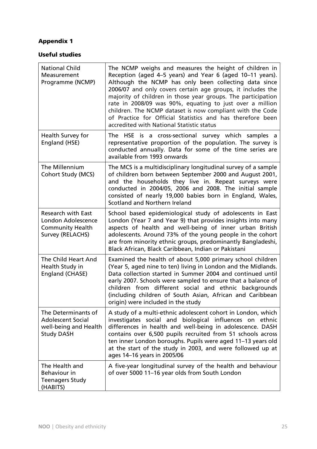# Appendix 1

## Useful studies

| <b>National Child</b><br>Measurement<br>Programme (NCMP)                                              | The NCMP weighs and measures the height of children in<br>Reception (aged 4-5 years) and Year 6 (aged 10-11 years).<br>Although the NCMP has only been collecting data since<br>2006/07 and only covers certain age groups, it includes the<br>majority of children in those year groups. The participation<br>rate in 2008/09 was 90%, equating to just over a million<br>children. The NCMP dataset is now compliant with the Code<br>of Practice for Official Statistics and has therefore been<br>accredited with National Statistic status |
|-------------------------------------------------------------------------------------------------------|-------------------------------------------------------------------------------------------------------------------------------------------------------------------------------------------------------------------------------------------------------------------------------------------------------------------------------------------------------------------------------------------------------------------------------------------------------------------------------------------------------------------------------------------------|
| Health Survey for<br>England (HSE)                                                                    | The HSE is a cross-sectional survey which samples a<br>representative proportion of the population. The survey is<br>conducted annually. Data for some of the time series are<br>available from 1993 onwards                                                                                                                                                                                                                                                                                                                                    |
| The Millennium<br><b>Cohort Study (MCS)</b>                                                           | The MCS is a multidisciplinary longitudinal survey of a sample<br>of children born between September 2000 and August 2001,<br>and the households they live in. Repeat surveys were<br>conducted in 2004/05, 2006 and 2008. The initial sample<br>consisted of nearly 19,000 babies born in England, Wales,<br>Scotland and Northern Ireland                                                                                                                                                                                                     |
| <b>Research with East</b><br>London Adolescence<br><b>Community Health</b><br><b>Survey (RELACHS)</b> | School based epidemiological study of adolescents in East<br>London (Year 7 and Year 9) that provides insights into many<br>aspects of health and well-being of inner urban British<br>adolescents. Around 73% of the young people in the cohort<br>are from minority ethnic groups, predominantly Bangladeshi,<br>Black African, Black Caribbean, Indian or Pakistani                                                                                                                                                                          |
| The Child Heart And<br>Health Study in<br>England (CHASE)                                             | Examined the health of about 5,000 primary school children<br>(Year 5, aged nine to ten) living in London and the Midlands.<br>Data collection started in Summer 2004 and continued until<br>early 2007. Schools were sampled to ensure that a balance of<br>children from different social and ethnic backgrounds<br>(including children of South Asian, African and Caribbean<br>origin) were included in the study                                                                                                                           |
| The Determinants of<br><b>Adolescent Social</b><br>well-being and Health<br><b>Study DASH</b>         | A study of a multi-ethnic adolescent cohort in London, which<br>investigates social and biological influences on ethnic<br>differences in health and well-being in adolescence. DASH<br>contains over 6,500 pupils recruited from 51 schools across<br>ten inner London boroughs. Pupils were aged 11-13 years old<br>at the start of the study in 2003, and were followed up at<br>ages 14-16 years in 2005/06                                                                                                                                 |
| The Health and<br><b>Behaviour in</b><br><b>Teenagers Study</b><br>(HABITS)                           | A five-year longitudinal survey of the health and behaviour<br>of over 5000 11-16 year olds from South London                                                                                                                                                                                                                                                                                                                                                                                                                                   |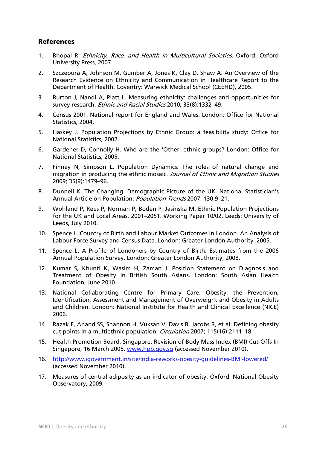# References

- 1. Bhopal R. Ethnicity, Race, and Health in Multicultural Societies. Oxford: Oxford University Press, 2007.
- 2. Szczepura A, Johnson M, Gumber A, Jones K, Clay D, Shaw A. An Overview of the Research Evidence on Ethnicity and Communication in Healthcare Report to the Department of Health. Coventry: Warwick Medical School (CEEHD), 2005.
- 3. Burton J, Nandi A, Platt L. Measuring ethnicity: challenges and opportunities for survey research. *Ethnic and Racial Studies* 2010; 33(8):1332-49.
- 4. Census 2001: National report for England and Wales. London: Office for National Statistics, 2004.
- 5. Haskey J. Population Projections by Ethnic Group: a feasibility study: Office for National Statistics, 2002.
- 6. Gardener D, Connolly H. Who are the 'Other' ethnic groups? London: Office for National Statistics, 2005.
- 7. Finney N, Simpson L. Population Dynamics: The roles of natural change and migration in producing the ethnic mosaic. Journal of Ethnic and Migration Studies 2009; 35(9):1479–96.
- 8. Dunnell K. The Changing. Demographic Picture of the UK. National Statistician's Annual Article on Population: Population Trends 2007: 130:9-21.
- 9. Wohland P, Rees P, Norman P, Boden P, Jasinska M. Ethnic Population Projections for the UK and Local Areas, 2001–2051. Working Paper 10/02. Leeds: University of Leeds, July 2010.
- 10. Spence L. Country of Birth and Labour Market Outcomes in London. An Analysis of Labour Force Survey and Census Data. London: Greater London Authority, 2005.
- 11. Spence L. A Profile of Londoners by Country of Birth. Estimates from the 2006 Annual Population Survey. London: Greater London Authority, 2008.
- 12. Kumar S, Khunti K, Wasim H, Zaman J. Position Statement on Diagnosis and Treatment of Obesity in British South Asians. London: South Asian Health Foundation, June 2010.
- 13. National Collaborating Centre for Primary Care. Obesity: the Prevention, Identification, Assessment and Management of Overweight and Obesity in Adults and Children. London: National Institute for Health and Clinical Excellence (NICE) 2006.
- 14. Razak F, Anand SS, Shannon H, Vuksan V, Davis B, Jacobs R, et al. Defining obesity cut points in a multiethnic population. Circulation 2007; 115(16):2111–18.
- 15. Health Promotion Board, Singapore. Revision of Body Mass Index (BMI) Cut-Offs In Singapore, 16 March 2005. www.hpb.gov.sq (accessed November 2010).
- 16. http://www.igovernment.in/site/India-reworks-obesity-guidelines-BMI-lowered/ (accessed November 2010).
- 17. Measures of central adiposity as an indicator of obesity. Oxford: National Obesity Observatory, 2009.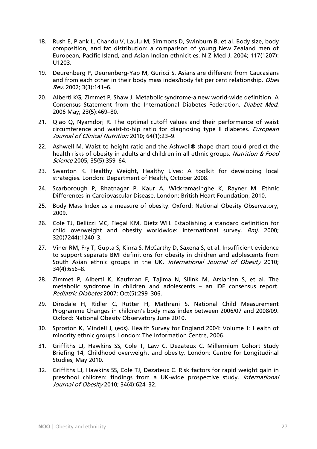- 18. Rush E, Plank L, Chandu V, Laulu M, Simmons D, Swinburn B, et al. Body size, body composition, and fat distribution: a comparison of young New Zealand men of European, Pacific Island, and Asian Indian ethnicities. N Z Med J. 2004; 117(1207): U1203.
- 19. Deurenberg P, Deurenberg-Yap M, Guricci S. Asians are different from Caucasians and from each other in their body mass index/body fat per cent relationship. Obes Rev. 2002; 3(3):141–6.
- 20. Alberti KG, Zimmet P, Shaw J. Metabolic syndrome-a new world-wide definition. A Consensus Statement from the International Diabetes Federation. Diabet Med. 2006 May; 23(5):469–80.
- 21. Qiao Q, Nyamdorj R. The optimal cutoff values and their performance of waist circumference and waist-to-hip ratio for diagnosing type II diabetes. *European* Journal of Clinical Nutrition 2010; 64(1):23–9.
- 22. Ashwell M. Waist to height ratio and the Ashwell® shape chart could predict the health risks of obesity in adults and children in all ethnic groups. Nutrition & Food Science 2005; 35(5):359–64.
- 23. Swanton K. Healthy Weight, Healthy Lives: A toolkit for developing local strategies. London: Department of Health, October 2008.
- 24. Scarborough P, Bhatnagar P, Kaur A, Wickramasinghe K, Rayner M. Ethnic Differences in Cardiovascular Disease. London: British Heart Foundation, 2010.
- 25. Body Mass Index as a measure of obesity. Oxford: National Obesity Observatory, 2009.
- 26. Cole TJ, Bellizzi MC, Flegal KM, Dietz WH. Establishing a standard definition for child overweight and obesity worldwide: international survey. *Bmj.* 2000; 320(7244):1240–3.
- 27. Viner RM, Fry T, Gupta S, Kinra S, McCarthy D, Saxena S, et al. Insufficient evidence to support separate BMI definitions for obesity in children and adolescents from South Asian ethnic groups in the UK. International Journal of Obesity 2010; 34(4):656–8.
- 28. Zimmet P, Alberti K, Kaufman F, Tajima N, Silink M, Arslanian S, et al. The metabolic syndrome in children and adolescents – an IDF consensus report. Pediatric Diabetes 2007; Oct(5):299–306.
- 29. Dinsdale H, Ridler C, Rutter H, Mathrani S. National Child Measurement Programme Changes in children's body mass index between 2006/07 and 2008/09. Oxford: National Obesity Observatory June 2010.
- 30. Sproston K, Mindell J, (eds). Health Survey for England 2004: Volume 1: Health of minority ethnic groups. London: The Information Centre, 2006.
- 31. Griffiths LJ, Hawkins SS, Cole T, Law C, Dezateux C. Millennium Cohort Study Briefing 14, Childhood overweight and obesity. London: Centre for Longitudinal Studies, May 2010.
- 32. Griffiths LJ, Hawkins SS, Cole TJ, Dezateux C. Risk factors for rapid weight gain in preschool children: findings from a UK-wide prospective study. *International* Journal of Obesity 2010; 34(4):624–32.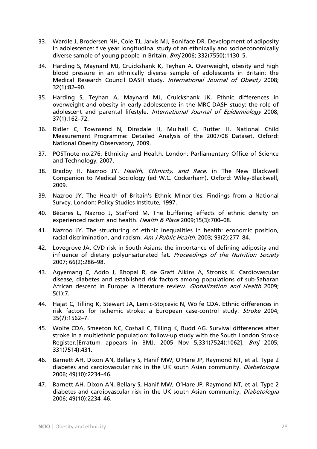- 33. Wardle J, Brodersen NH, Cole TJ, Jarvis MJ, Boniface DR. Development of adiposity in adolescence: five year longitudinal study of an ethnically and socioeconomically diverse sample of young people in Britain. Bmj 2006; 332(7550):1130–5.
- 34. Harding S, Maynard MJ, Cruickshank K, Teyhan A. Overweight, obesity and high blood pressure in an ethnically diverse sample of adolescents in Britain: the Medical Research Council DASH study. International Journal of Obesity 2008; 32(1):82–90.
- 35. Harding S, Teyhan A, Maynard MJ, Cruickshank JK. Ethnic differences in overweight and obesity in early adolescence in the MRC DASH study: the role of adolescent and parental lifestyle. International Journal of Epidemiology 2008; 37(1):162–72.
- 36. Ridler C, Townsend N, Dinsdale H, Mulhall C, Rutter H. National Child Measurement Programme: Detailed Analysis of the 2007/08 Dataset. Oxford: National Obesity Observatory, 2009.
- 37. POSTnote no.276: Ethnicity and Health. London: Parliamentary Office of Science and Technology, 2007.
- 38. Bradby H, Nazroo JY. Health, Ethnicity, and Race, in The New Blackwell Companion to Medical Sociology (ed W.C. Cockerham). Oxford: Wiley-Blackwell, 2009.
- 39. Nazroo JY. The Health of Britain's Ethnic Minorities: Findings from a National Survey. London: Policy Studies Institute, 1997.
- 40. Bécares L, Nazroo J, Stafford M. The buffering effects of ethnic density on experienced racism and health. Health & Place 2009;15(3):700-08.
- 41. Nazroo JY. The structuring of ethnic inequalities in health: economic position, racial discrimination, and racism. Am J Public Health. 2003; 93(2):277-84.
- 42. Lovegrove JA. CVD risk in South Asians: the importance of defining adiposity and influence of dietary polyunsaturated fat. Proceedings of the Nutrition Society 2007; 66(2):286–98.
- 43. Agyemang C, Addo J, Bhopal R, de Graft Aikins A, Stronks K. Cardiovascular disease, diabetes and established risk factors among populations of sub-Saharan African descent in Europe: a literature review. Globalization and Health 2009; 5(1):7.
- 44. Hajat C, Tilling K, Stewart JA, Lemic-Stojcevic N, Wolfe CDA. Ethnic differences in risk factors for ischemic stroke: a European case-control study. Stroke 2004; 35(7):1562–7.
- 45. Wolfe CDA, Smeeton NC, Coshall C, Tilling K, Rudd AG. Survival differences after stroke in a multiethnic population: follow-up study with the South London Stroke Register.[Erratum appears in BMJ. 2005 Nov 5;331(7524):1062]. Bmj 2005; 331(7514):431.
- 46. Barnett AH, Dixon AN, Bellary S, Hanif MW, O'Hare JP, Raymond NT, et al. Type 2 diabetes and cardiovascular risk in the UK south Asian community. Diabetologia 2006; 49(10):2234–46.
- 47. Barnett AH, Dixon AN, Bellary S, Hanif MW, O'Hare JP, Raymond NT, et al. Type 2 diabetes and cardiovascular risk in the UK south Asian community. *Diabetologia* 2006; 49(10):2234–46.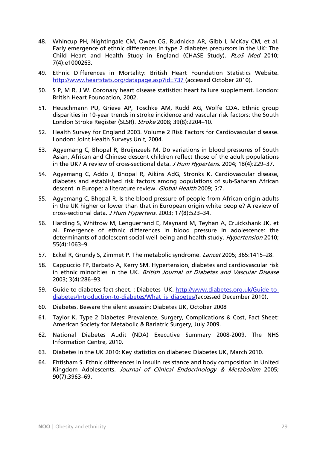- 48. Whincup PH, Nightingale CM, Owen CG, Rudnicka AR, Gibb I, McKay CM, et al. Early emergence of ethnic differences in type 2 diabetes precursors in the UK: The Child Heart and Health Study in England (CHASE Study). PLoS Med 2010; 7(4):e1000263.
- 49. Ethnic Differences in Mortality: British Heart Foundation Statistics Website. http://www.heartstats.org/datapage.asp?id=737 (accessed October 2010).
- 50. S P, M R, J W. Coronary heart disease statistics: heart failure supplement. London: British Heart Foundation, 2002.
- 51. Heuschmann PU, Grieve AP, Toschke AM, Rudd AG, Wolfe CDA. Ethnic group disparities in 10-year trends in stroke incidence and vascular risk factors: the South London Stroke Register (SLSR). Stroke 2008; 39(8):2204–10.
- 52. Health Survey for England 2003. Volume 2 Risk Factors for Cardiovascular disease. London: Joint Health Surveys Unit, 2004.
- 53. Agyemang C, Bhopal R, Bruijnzeels M. Do variations in blood pressures of South Asian, African and Chinese descent children reflect those of the adult populations in the UK? A review of cross-sectional data. J Hum Hypertens. 2004; 18(4):229-37.
- 54. Agyemang C, Addo J, Bhopal R, Aikins AdG, Stronks K. Cardiovascular disease, diabetes and established risk factors among populations of sub-Saharan African descent in Europe: a literature review. Global Health 2009; 5:7.
- 55. Agyemang C, Bhopal R. Is the blood pressure of people from African origin adults in the UK higher or lower than that in European origin white people? A review of cross-sectional data. J Hum Hypertens. 2003; 17(8):523–34.
- 56. Harding S, Whitrow M, Lenguerrand E, Maynard M, Teyhan A, Cruickshank JK, et al. Emergence of ethnic differences in blood pressure in adolescence: the determinants of adolescent social well-being and health study. Hypertension 2010; 55(4):1063–9.
- 57. Eckel R, Grundy S, Zimmet P. The metabolic syndrome. Lancet 2005; 365:1415–28.
- 58. Cappuccio FP, Barbato A, Kerry SM. Hypertension, diabetes and cardiovascular risk in ethnic minorities in the UK. British Journal of Diabetes and Vascular Disease 2003; 3(4):286–93.
- 59. Guide to diabetes fact sheet. : Diabetes UK. http://www.diabetes.org.uk/Guide-todiabetes/Introduction-to-diabetes/What\_is\_diabetes/(accessed December 2010).
- 60. Diabetes. Beware the silent assassin: Diabetes UK, October 2008
- 61. Taylor K. Type 2 Diabetes: Prevalence, Surgery, Complications & Cost, Fact Sheet: American Society for Metabolic & Bariatric Surgery, July 2009.
- 62. National Diabetes Audit (NDA) Executive Summary 2008-2009. The NHS Information Centre, 2010.
- 63. Diabetes in the UK 2010: Key statistics on diabetes: Diabetes UK, March 2010.
- 64. Ehtisham S. Ethnic differences in insulin resistance and body composition in United Kingdom Adolescents. Journal of Clinical Endocrinology & Metabolism 2005; 90(7):3963–69.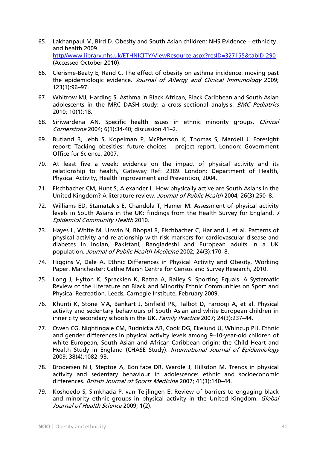- 65. Lakhanpaul M, Bird D. Obesity and South Asian children: NHS Evidence ethnicity and health 2009. http//www.library.nhs.uk/ETHNICITY/ViewResource.aspx?resID=327155&tabID-290 (Accessed October 2010).
- 66. Clerisme-Beaty E, Rand C. The effect of obesity on asthma incidence: moving past the epidemiologic evidence. Journal of Allergy and Clinical Immunology 2009; 123(1):96–97.
- 67. Whitrow MJ, Harding S. Asthma in Black African, Black Caribbean and South Asian adolescents in the MRC DASH study: a cross sectional analysis. BMC Pediatrics 2010; 10(1):18.
- 68. Siriwardena AN. Specific health issues in ethnic minority groups. Clinical Cornerstone 2004; 6(1):34-40; discussion 41–2.
- 69. Butland B, Jebb S, Kopelman P, McPherson K, Thomas S, Mardell J. Foresight report: Tacking obesities: future choices – project report. London: Government Office for Science, 2007.
- 70. At least five a week: evidence on the impact of physical activity and its relationship to health, Gateway Ref: 2389. London: Department of Health, Physical Activity, Health Improvement and Prevention, 2004.
- 71. Fischbacher CM, Hunt S, Alexander L. How physically active are South Asians in the United Kingdom? A literature review. Journal of Public Health 2004; 26(3):250–8.
- 72. Williams ED, Stamatakis E, Chandola T, Hamer M. Assessment of physical activity levels in South Asians in the UK: findings from the Health Survey for England. J Epidemiol Community Health 2010.
- 73. Hayes L, White M, Unwin N, Bhopal R, Fischbacher C, Harland J, et al. Patterns of physical activity and relationship with risk markers for cardiovascular disease and diabetes in Indian, Pakistani, Bangladeshi and European adults in a UK population. Journal of Public Health Medicine 2002; 24(3):170–8.
- 74. Higgins V, Dale A. Ethnic Differences in Physical Activity and Obesity, Working Paper. Manchester: Cathie Marsh Centre for Census and Survey Research, 2010.
- 75. Long J, Hylton K, Spracklen K, Ratna A, Bailey S. Sporting Equals. A Systematic Review of the Literature on Black and Minority Ethnic Communities on Sport and Physical Recreation. Leeds, Carnegie Institute, February 2009.
- 76. Khunti K, Stone MA, Bankart J, Sinfield PK, Talbot D, Farooqi A, et al. Physical activity and sedentary behaviours of South Asian and white European children in inner city secondary schools in the UK. Family Practice 2007; 24(3):237-44.
- 77. Owen CG, Nightingale CM, Rudnicka AR, Cook DG, Ekelund U, Whincup PH. Ethnic and gender differences in physical activity levels among 9–10-year-old children of white European, South Asian and African-Caribbean origin: the Child Heart and Health Study in England (CHASE Study). International Journal of Epidemiology 2009; 38(4):1082–93.
- 78. Brodersen NH, Steptoe A, Boniface DR, Wardle J, Hillsdon M. Trends in physical activity and sedentary behaviour in adolescence: ethnic and socioeconomic differences. British Journal of Sports Medicine 2007; 41(3):140-44.
- 79. Koshoedo S, Simkhada P, van Teijlingen E. Review of barriers to engaging black and minority ethnic groups in physical activity in the United Kingdom. Global Journal of Health Science 2009; 1(2).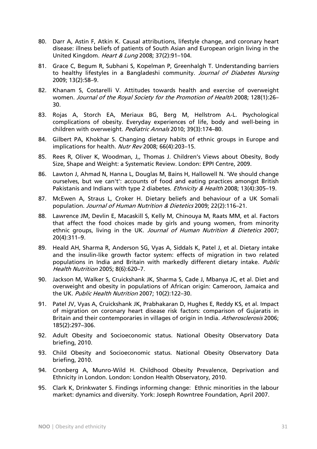- 80. Darr A, Astin F, Atkin K. Causal attributions, lifestyle change, and coronary heart disease: illness beliefs of patients of South Asian and European origin living in the United Kingdom. Heart & Lung 2008; 37(2):91–104.
- 81. Grace C, Begum R, Subhani S, Kopelman P, Greenhalgh T. Understanding barriers to healthy lifestyles in a Bangladeshi community. Journal of Diabetes Nursing 2009; 13(2):58–9.
- 82. Khanam S, Costarelli V. Attitudes towards health and exercise of overweight women. Journal of the Royal Society for the Promotion of Health 2008; 128(1):26-30.
- 83. Rojas A, Storch EA, Meriaux BG, Berg M, Hellstrom A-L. Psychological complications of obesity. Everyday experiences of life, body and well-being in children with overweight. Pediatric Annals 2010; 39(3):174-80.
- 84. Gilbert PA, Khokhar S. Changing dietary habits of ethnic groups in Europe and implications for health. Nutr Rev 2008; 66(4):203-15.
- 85. Rees R, Oliver K, Woodman, J,, Thomas J. Children's Views about Obesity, Body Size, Shape and Weight: a Systematic Review. London: EPPI Centre, 2009.
- 86. Lawton J, Ahmad N, Hanna L, Douglas M, Bains H, Hallowell N. 'We should change ourselves, but we can't': accounts of food and eating practices amongst British Pakistanis and Indians with type 2 diabetes. Ethnicity & Health 2008; 13(4):305-19.
- 87. McEwen A, Straus L, Croker H. Dietary beliefs and behaviour of a UK Somali population. Journal of Human Nutrition & Dietetics 2009; 22(2):116–21.
- 88. Lawrence JM, Devlin E, Macaskill S, Kelly M, Chinouya M, Raats MM, et al. Factors that affect the food choices made by girls and young women, from minority ethnic groups, living in the UK. Journal of Human Nutrition & Dietetics 2007; 20(4):311–9.
- 89. Heald AH, Sharma R, Anderson SG, Vyas A, Siddals K, Patel J, et al. Dietary intake and the insulin-like growth factor system: effects of migration in two related populations in India and Britain with markedly different dietary intake. Public Health Nutrition 2005; 8(6):620–7.
- 90. Jackson M, Walker S, Cruickshank JK, Sharma S, Cade J, Mbanya JC, et al. Diet and overweight and obesity in populations of African origin: Cameroon, Jamaica and the UK. Public Health Nutrition 2007; 10(2):122–30.
- 91. Patel JV, Vyas A, Cruickshank JK, Prabhakaran D, Hughes E, Reddy KS, et al. Impact of migration on coronary heart disease risk factors: comparison of Gujaratis in Britain and their contemporaries in villages of origin in India. Atherosclerosis 2006; 185(2):297–306.
- 92. Adult Obesity and Socioeconomic status. National Obesity Observatory Data briefing, 2010.
- 93. Child Obesity and Socioeconomic status. National Obesity Observatory Data briefing, 2010.
- 94. Cronberg A, Munro-Wild H. Childhood Obesity Prevalence, Deprivation and Ethnicity in London. London: London Health Observatory, 2010.
- 95. Clark K, Drinkwater S. Findings informing change: Ethnic minorities in the labour market: dynamics and diversity. York: Joseph Rowntree Foundation, April 2007.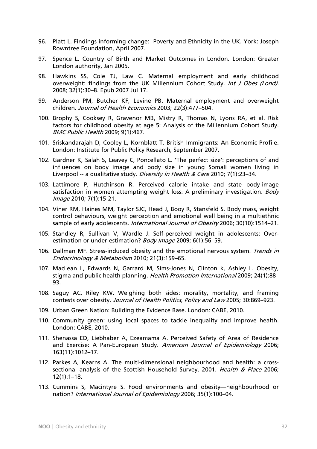- 96. Platt L. Findings informing change: Poverty and Ethnicity in the UK. York: Joseph Rowntree Foundation, April 2007.
- 97. Spence L. Country of Birth and Market Outcomes in London. London: Greater London authority, Jan 2005.
- 98. Hawkins SS, Cole TJ, Law C. Maternal employment and early childhood overweight: findings from the UK Millennium Cohort Study. Int J Obes (Lond). 2008; 32(1):30–8. Epub 2007 Jul 17.
- 99. Anderson PM, Butcher KF, Levine PB. Maternal employment and overweight children. Journal of Health Economics 2003; 22(3):477–504.
- 100. Brophy S, Cooksey R, Gravenor MB, Mistry R, Thomas N, Lyons RA, et al. Risk factors for childhood obesity at age 5: Analysis of the Millennium Cohort Study. BMC Public Health 2009; 9(1):467.
- 101. Sriskandarajah D, Cooley L, Kornblatt T. British Immigrants: An Economic Profile. London: Institute for Public Policy Research, September 2007.
- 102. Gardner K, Salah S, Leavey C, Poncellato L. 'The perfect size': perceptions of and influences on body image and body size in young Somali women living in Liverpool -- a qualitative study. *Diversity in Health & Care* 2010; 7(1):23-34.
- 103. Lattimore P, Hutchinson R. Perceived calorie intake and state body-image satisfaction in women attempting weight loss: A preliminary investigation. Body Image 2010; 7(1):15-21.
- 104. Viner RM, Haines MM, Taylor SJC, Head J, Booy R, Stansfeld S. Body mass, weight control behaviours, weight perception and emotional well being in a multiethnic sample of early adolescents. International Journal of Obesity 2006; 30(10):1514-21.
- 105. Standley R, Sullivan V, Wardle J. Self-perceived weight in adolescents: Overestimation or under-estimation? Body Image 2009; 6(1):56-59.
- 106. Dallman MF. Stress-induced obesity and the emotional nervous system. Trends in Endocrinology & Metabolism 2010; 21(3):159–65.
- 107. MacLean L, Edwards N, Garrard M, Sims-Jones N, Clinton k, Ashley L. Obesity, stigma and public health planning. Health Promotion International 2009; 24(1):88-93.
- 108. Saguy AC, Riley KW. Weighing both sides: morality, mortality, and framing contests over obesity. Journal of Health Politics, Policy and Law 2005; 30:869–923.
- 109. Urban Green Nation: Building the Evidence Base. London: CABE, 2010.
- 110. Community green: using local spaces to tackle inequality and improve health. London: CABE, 2010.
- 111. Shenassa ED, Liebhaber A, Ezeamama A. Perceived Safety of Area of Residence and Exercise: A Pan-European Study. American Journal of Epidemiology 2006; 163(11):1012–17.
- 112. Parkes A, Kearns A. The multi-dimensional neighbourhood and health: a crosssectional analysis of the Scottish Household Survey, 2001. Health & Place 2006; 12(1):1–18.
- 113. Cummins S, Macintyre S. Food environments and obesity—neighbourhood or nation? International Journal of Epidemiology 2006; 35(1):100-04.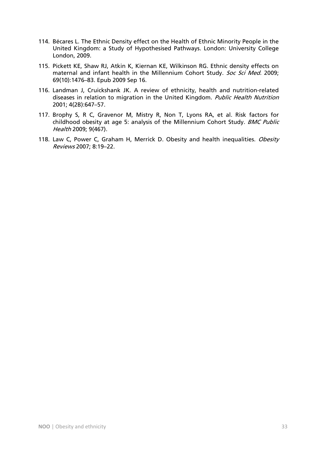- 114. Bécares L. The Ethnic Density effect on the Health of Ethnic Minority People in the United Kingdom: a Study of Hypothesised Pathways. London: University College London, 2009.
- 115. Pickett KE, Shaw RJ, Atkin K, Kiernan KE, Wilkinson RG. Ethnic density effects on maternal and infant health in the Millennium Cohort Study. Soc Sci Med. 2009; 69(10):1476–83. Epub 2009 Sep 16.
- 116. Landman J, Cruickshank JK. A review of ethnicity, health and nutrition-related diseases in relation to migration in the United Kingdom. Public Health Nutrition 2001; 4(2B):647–57.
- 117. Brophy S, R C, Gravenor M, Mistry R, Non T, Lyons RA, et al. Risk factors for childhood obesity at age 5: analysis of the Millennium Cohort Study. BMC Public Health 2009; 9(467).
- 118. Law C, Power C, Graham H, Merrick D. Obesity and health inequalities. Obesity Reviews 2007; 8:19–22.